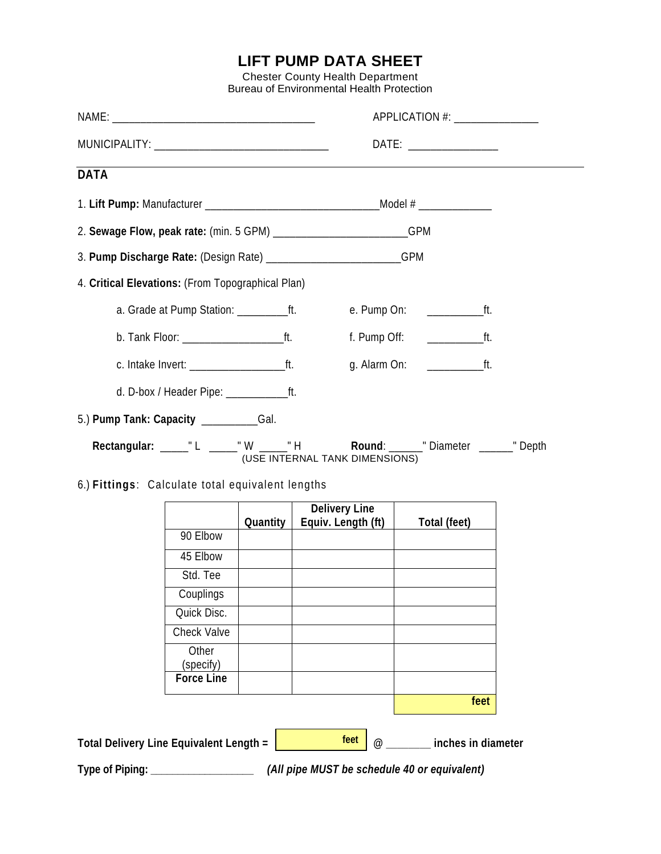## **LIFT PUMP DATA SHEET**

Chester County Health Department Bureau of Environmental Health Protection

|                                                                                                            |                    |          |                                     | APPLICATION #: ________________ |  |
|------------------------------------------------------------------------------------------------------------|--------------------|----------|-------------------------------------|---------------------------------|--|
|                                                                                                            |                    |          | DATE: __________________            |                                 |  |
| <b>DATA</b>                                                                                                |                    |          |                                     |                                 |  |
|                                                                                                            |                    |          |                                     |                                 |  |
| 2. Sewage Flow, peak rate: (min. 5 GPM) __________________________GPM                                      |                    |          |                                     |                                 |  |
| 3. Pump Discharge Rate: (Design Rate) __________________________GPM                                        |                    |          |                                     |                                 |  |
| 4. Critical Elevations: (From Topographical Plan)                                                          |                    |          |                                     |                                 |  |
| a. Grade at Pump Station: _____________ft.                                                                 |                    |          |                                     |                                 |  |
|                                                                                                            |                    |          | f. Pump Off: $\qquad \qquad \qquad$ |                                 |  |
|                                                                                                            |                    |          |                                     |                                 |  |
|                                                                                                            |                    |          |                                     |                                 |  |
| 5.) Pump Tank: Capacity ___________Gal.                                                                    |                    |          |                                     |                                 |  |
|                                                                                                            |                    |          |                                     |                                 |  |
| Rectangular: _____"L _____"W _____"H Round: ______"Diameter ______"Depth<br>(USE INTERNAL TANK DIMENSIONS) |                    |          |                                     |                                 |  |
| 6.) Fittings: Calculate total equivalent lengths                                                           |                    |          |                                     |                                 |  |
|                                                                                                            |                    |          | <b>Delivery Line</b>                |                                 |  |
|                                                                                                            |                    | Quantity | Equiv. Length (ft)                  | Total (feet)                    |  |
|                                                                                                            | 90 Elbow           |          |                                     |                                 |  |
|                                                                                                            | 45 Elbow           |          |                                     |                                 |  |
|                                                                                                            | Std. Tee           |          |                                     |                                 |  |
|                                                                                                            | Couplings          |          |                                     |                                 |  |
|                                                                                                            | Quick Disc.        |          |                                     |                                 |  |
|                                                                                                            | <b>Check Valve</b> |          |                                     |                                 |  |
|                                                                                                            | Other<br>(specify) |          |                                     |                                 |  |
|                                                                                                            | <b>Force Line</b>  |          |                                     |                                 |  |
| feet                                                                                                       |                    |          |                                     |                                 |  |
|                                                                                                            |                    |          |                                     |                                 |  |
| feet<br>inches in diameter<br>Total Delivery Line Equivalent Length =<br>$^{\omega}$                       |                    |          |                                     |                                 |  |
| (All pipe MUST be schedule 40 or equivalent)<br>Type of Piping:                                            |                    |          |                                     |                                 |  |